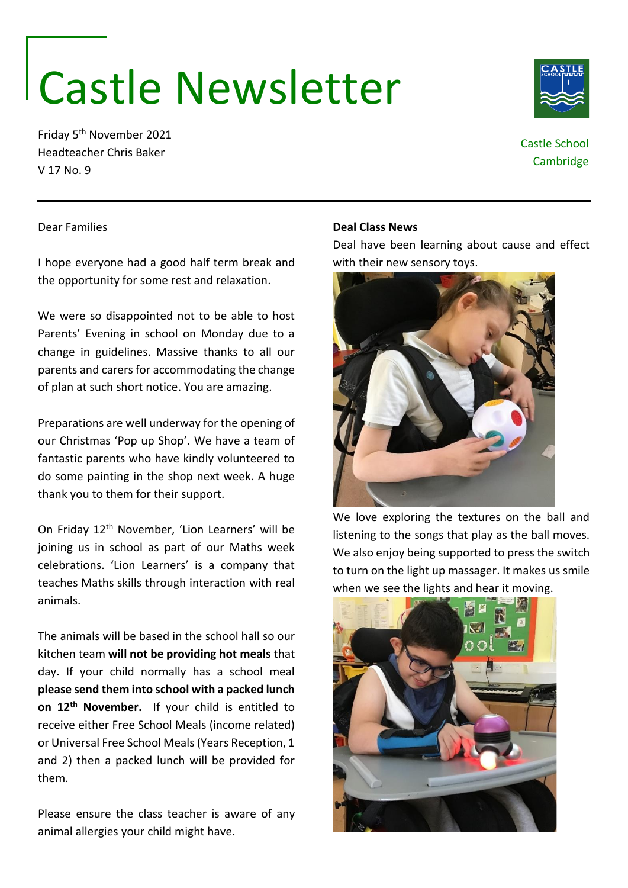# Castle Newsletter

Friday 5th November 2021 Headteacher Chris Baker V 17 No. 9

## Castle School **Cambridge**

#### Dear Families

I hope everyone had a good half term break and the opportunity for some rest and relaxation.

We were so disappointed not to be able to host Parents' Evening in school on Monday due to a change in guidelines. Massive thanks to all our parents and carers for accommodating the change of plan at such short notice. You are amazing.

Preparations are well underway for the opening of our Christmas 'Pop up Shop'. We have a team of fantastic parents who have kindly volunteered to do some painting in the shop next week. A huge thank you to them for their support.

On Friday 12th November, 'Lion Learners' will be joining us in school as part of our Maths week celebrations. 'Lion Learners' is a company that teaches Maths skills through interaction with real animals.

The animals will be based in the school hall so our kitchen team **will not be providing hot meals** that day. If your child normally has a school meal **please send them into school with a packed lunch on 12th November.** If your child is entitled to receive either Free School Meals (income related) or Universal Free School Meals (Years Reception, 1 and 2) then a packed lunch will be provided for them.

Please ensure the class teacher is aware of any animal allergies your child might have.

#### **Deal Class News**

Deal have been learning about cause and effect with their new sensory toys.



We love exploring the textures on the ball and listening to the songs that play as the ball moves. We also enjoy being supported to press the switch to turn on the light up massager. It makes us smile when we see the lights and hear it moving.